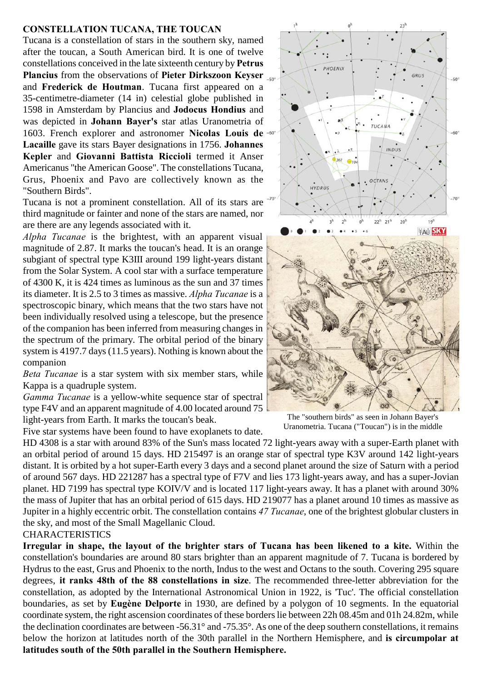## **CONSTELLATION TUCANA, THE TOUCAN**

Tucana is a constellation of stars in the southern sky, named after the toucan, a South American bird. It is one of twelve constellations conceived in the late sixteenth century by **Petrus Plancius** from the observations of **Pieter Dirkszoon Keyser** and **Frederick de Houtman**. Tucana first appeared on a 35-centimetre-diameter (14 in) celestial globe published in 1598 in Amsterdam by Plancius and **Jodocus Hondius** and was depicted in **Johann Bayer's** star atlas Uranometria of 1603. French explorer and astronomer **Nicolas Louis de Lacaille** gave its stars Bayer designations in 1756. **Johannes Kepler and Giovanni Battista Riccioli** termed it Anser Americanus "the American Goose". The constellations Tucana, Grus, Phoenix and Pavo are collectively known as the "Southern Birds".

Tucana is not a prominent constellation. All of its stars are third magnitude or fainter and none of the stars are named, nor are there are any legends associated with it.

*Alpha Tucanae* is the brightest, with an apparent visual magnitude of 2.87. It marks the toucan's head. It is an orange subgiant of spectral type K3III around 199 light-years distant from the Solar System. A cool star with a surface temperature of 4300 K, it is 424 times as luminous as the sun and 37 times its diameter. It is 2.5 to 3 times as massive. *Alpha Tucanae* is a spectroscopic binary, which means that the two stars have not been individually resolved using a telescope, but the presence of the companion has been inferred from measuring changes in the spectrum of the primary. The orbital period of the binary system is 4197.7 days (11.5 years). Nothing is known about the companion

*Beta Tucanae* is a star system with six member stars, while Kappa is a quadruple system.

*Gamma Tucanae* is a yellow-white sequence star of spectral type F4V and an apparent magnitude of 4.00 located around 75 light-years from Earth. It marks the toucan's beak.

Five star systems have been found to have exoplanets to date.



The "southern birds" as seen in Johann Bayer's Uranometria. Tucana ("Toucan") is in the middle

HD 4308 is a star with around 83% of the Sun's mass located 72 light-years away with a super-Earth planet with an orbital period of around 15 days. HD 215497 is an orange star of spectral type K3V around 142 light-years distant. It is orbited by a hot super-Earth every 3 days and a second planet around the size of Saturn with a period of around 567 days. HD 221287 has a spectral type of F7V and lies 173 light-years away, and has a super-Jovian planet. HD 7199 has spectral type KOIV/V and is located 117 light-years away. It has a planet with around 30% the mass of Jupiter that has an orbital period of 615 days. HD 219077 has a planet around 10 times as massive as Jupiter in a highly eccentric orbit. The constellation contains *47 Tucanae*, one of the brightest globular clusters in the sky, and most of the Small Magellanic Cloud.

## CHARACTERISTICS

**Irregular in shape, the layout of the brighter stars of Tucana has been likened to a kite.** Within the constellation's boundaries are around 80 stars brighter than an apparent magnitude of 7. Tucana is bordered by Hydrus to the east, Grus and Phoenix to the north, Indus to the west and Octans to the south. Covering 295 square degrees, **it ranks 48th of the 88 constellations in size**. The recommended three-letter abbreviation for the constellation, as adopted by the International Astronomical Union in 1922, is 'Tuc'. The official constellation boundaries, as set by **Eugène Delporte** in 1930, are defined by a polygon of 10 segments. In the equatorial coordinate system, the right ascension coordinates of these borders lie between 22h 08.45m and 01h 24.82m, while the declination coordinates are between -56.31° and -75.35°. As one of the deep southern constellations, it remains below the horizon at latitudes north of the 30th parallel in the Northern Hemisphere, and **is circumpolar at latitudes south of the 50th parallel in the Southern Hemisphere.**